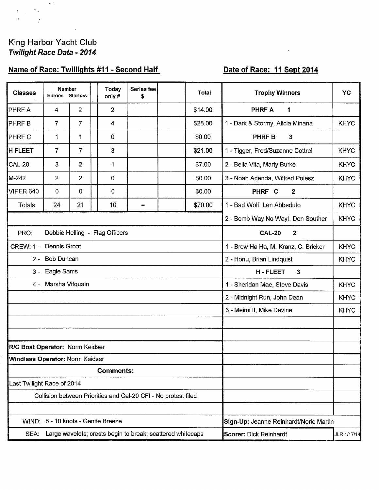# King Harbor Yacht Club<br>Twilight Race Data - 2014

 $\mathbf{e}^{(\mu)}$ 

 $\bar{\Sigma}_\mu$ 

 $\frac{1}{2}$ 

 $\mathbf{1}$ 

# Name of Race: Twillights #11 - Second Half

## Date of Race: 11 Sept 2014

 $\bar{\lambda}$ 

| <b>Classes</b>                                                     | <b>Number</b><br><b>Entries Starters</b> |                |  | <b>Today</b><br>only#          | Series fee<br>\$                     |             | Total   | <b>Trophy Winners</b>                  | YC          |  |  |
|--------------------------------------------------------------------|------------------------------------------|----------------|--|--------------------------------|--------------------------------------|-------------|---------|----------------------------------------|-------------|--|--|
| PHRF A                                                             | 4                                        | $\overline{2}$ |  | $\overline{2}$                 |                                      |             | \$14.00 | <b>PHRF A</b><br>1                     |             |  |  |
| PHRF B                                                             | $\overline{7}$                           | $\overline{7}$ |  | 4                              |                                      |             | \$28.00 | 1 - Dark & Stormy, Alicia Minana       | <b>KHYC</b> |  |  |
| PHRF C                                                             | 1                                        | 1              |  | 0                              |                                      |             | \$0.00  | <b>PHRFB</b><br>3                      |             |  |  |
| <b>H FLEET</b>                                                     | 7                                        | $\overline{7}$ |  | 3                              |                                      |             | \$21.00 | 1 - Tigger, Fred/Suzanne Cottrell      | <b>KHYC</b> |  |  |
| <b>CAL-20</b>                                                      | 3                                        | $\overline{2}$ |  | 1                              |                                      |             | \$7.00  | 2 - Bella Vita, Marty Burke            | <b>KHYC</b> |  |  |
| M-242                                                              | $\overline{2}$                           | $\overline{2}$ |  | 0                              |                                      |             | \$0.00  | 3 - Noah Agenda, Wilfred Poiesz        | <b>KHYC</b> |  |  |
| <b>VIPER 640</b>                                                   | 0                                        | 0              |  | 0                              |                                      |             | \$0.00  | PHRF C<br>$\mathbf{2}$                 |             |  |  |
| <b>Totals</b>                                                      | 24                                       | 21             |  | 10                             | $=$                                  |             | \$70.00 | 1 - Bad Wolf, Len Abbeduto             | <b>KHYC</b> |  |  |
|                                                                    |                                          |                |  |                                |                                      |             |         | 2 - Bomb Way No Way!, Don Souther      | <b>KHYC</b> |  |  |
| PRO:                                                               |                                          |                |  | Debbie Helling - Flag Officers | <b>CAL-20</b><br>$\boldsymbol{2}$    |             |         |                                        |             |  |  |
| <b>CREW: 1 -</b>                                                   | Dennis Groat                             |                |  |                                | 1 - Brew Ha Ha, M. Kranz, C. Bricker | <b>KHYC</b> |         |                                        |             |  |  |
| $2 -$                                                              | <b>Bob Duncan</b>                        |                |  |                                | 2 - Honu, Brian Lindquist            | <b>KHYC</b> |         |                                        |             |  |  |
| $3 -$                                                              | Eagle Sams                               |                |  |                                | <b>H-FLEET</b><br>$\mathbf{3}$       |             |         |                                        |             |  |  |
|                                                                    | 4 - Marsha Vifquain                      |                |  |                                | 1 - Sheridan Mae, Steve Davis        | <b>KHYC</b> |         |                                        |             |  |  |
|                                                                    |                                          |                |  |                                | 2 - Midnight Run, John Dean          | <b>KHYC</b> |         |                                        |             |  |  |
|                                                                    |                                          |                |  |                                | 3 - Meimi II, Mike Devine            | <b>KHYC</b> |         |                                        |             |  |  |
|                                                                    |                                          |                |  |                                |                                      |             |         |                                        |             |  |  |
|                                                                    |                                          |                |  |                                |                                      |             |         |                                        |             |  |  |
| R/C Boat Operator: Norm Keidser                                    |                                          |                |  |                                |                                      |             |         |                                        |             |  |  |
| Windlass Operator: Norm Keidser                                    |                                          |                |  |                                |                                      |             |         |                                        |             |  |  |
| <b>Comments:</b>                                                   |                                          |                |  |                                |                                      |             |         |                                        |             |  |  |
| Last Twilight Race of 2014                                         |                                          |                |  |                                |                                      |             |         |                                        |             |  |  |
| Collision between Priorities and Cal-20 CFI - No protest filed     |                                          |                |  |                                |                                      |             |         |                                        |             |  |  |
| WIND: 8 - 10 knots - Gentle Breeze                                 |                                          |                |  |                                |                                      |             |         |                                        |             |  |  |
| Large wavelets; crests begin to break; scattered whitecaps<br>SEA: |                                          |                |  |                                |                                      |             |         | Sign-Up: Jeanne Reinhardt/Norie Martin |             |  |  |
|                                                                    |                                          |                |  |                                | <b>Scorer: Dick Reinhardt</b>        | JLR 1/17/14 |         |                                        |             |  |  |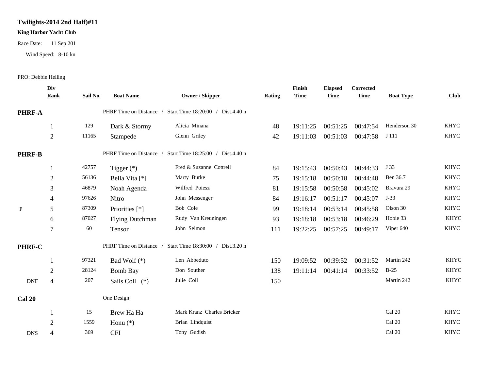## **Twilights-2014 2nd Half)#11**

#### **King Harbor Yacht Club**

Race Date: 11 Sep 201

Wind Speed: 8-10 kn

#### PRO: Debbie Helling

| Div<br><b>Rank</b> | Sail No.                                 | <b>Boat Name</b>       | Owner / Skipper                   | Rating                                                                                                          | Finish<br><b>Time</b> | <b>Elapsed</b><br><b>Time</b> | Corrected<br><b>Time</b> | <b>Boat Type</b>                 | Club        |
|--------------------|------------------------------------------|------------------------|-----------------------------------|-----------------------------------------------------------------------------------------------------------------|-----------------------|-------------------------------|--------------------------|----------------------------------|-------------|
|                    |                                          |                        |                                   |                                                                                                                 |                       |                               |                          |                                  |             |
|                    | 129                                      | Dark & Stormy          | Alicia Minana                     | 48                                                                                                              | 19:11:25              | 00:51:25                      | 00:47:54                 | Henderson 30                     | <b>KHYC</b> |
| $\sqrt{2}$         | 11165                                    | Stampede               | Glenn Griley                      | 42                                                                                                              | 19:11:03              |                               | 00:47:58                 | J 111                            | <b>KHYC</b> |
|                    |                                          |                        | Start Time 18:25:00 / Dist.4.40 n |                                                                                                                 |                       |                               |                          |                                  |             |
|                    | 42757                                    | Tigger $(*)$           | Fred & Suzanne Cottrell           | 84                                                                                                              | 19:15:43              | 00:50:43                      | 00:44:33                 | J 33                             | <b>KHYC</b> |
| $\sqrt{2}$         | 56136                                    | Bella Vita [*]         | Marty Burke                       | 75                                                                                                              | 19:15:18              | 00:50:18                      | 00:44:48                 | Ben 36.7                         | <b>KHYC</b> |
| 3                  | 46879                                    | Noah Agenda            | Wilfred Poiesz                    | 81                                                                                                              | 19:15:58              | 00:50:58                      | 00:45:02                 | Bravura 29                       | <b>KHYC</b> |
| $\overline{4}$     | 97626                                    | Nitro                  | John Messenger                    | 84                                                                                                              | 19:16:17              | 00:51:17                      | 00:45:07                 | $J-33$                           | <b>KHYC</b> |
| 5                  | 87309                                    | Priorities [*]         | Bob Cole                          | 99                                                                                                              | 19:18:14              | 00:53:14                      | 00:45:58                 | Olson 30                         | <b>KHYC</b> |
| 6                  | 87027                                    | <b>Flying Dutchman</b> | Rudy Van Kreuningen               | 93                                                                                                              | 19:18:18              | 00:53:18                      | 00:46:29                 | Hobie 33                         | <b>KHYC</b> |
| $\overline{7}$     | 60                                       | Tensor                 | John Selmon                       | 111                                                                                                             | 19:22:25              | 00:57:25                      | 00:49:17                 | Viper 640                        | <b>KHYC</b> |
|                    |                                          |                        | Start Time 18:30:00 / Dist.3.20 n |                                                                                                                 |                       |                               |                          |                                  |             |
|                    | 97321                                    | Bad Wolf $(*)$         | Len Abbeduto                      | 150                                                                                                             | 19:09:52              |                               | 00:31:52                 | Martin 242                       | <b>KHYC</b> |
| $\overline{2}$     | 28124                                    | <b>Bomb Bay</b>        | Don Souther                       | 138                                                                                                             | 19:11:14              |                               | 00:33:52                 | $B-25$                           | <b>KHYC</b> |
| $\overline{4}$     | 207                                      | Sails Coll (*)         | Julie Coll                        | 150                                                                                                             |                       |                               |                          | Martin 242                       | <b>KHYC</b> |
|                    |                                          |                        |                                   |                                                                                                                 |                       |                               |                          |                                  |             |
|                    | 15                                       | Brew Ha Ha             | Mark Kranz Charles Bricker        |                                                                                                                 |                       |                               |                          | Cal 20                           | <b>KHYC</b> |
| $\overline{2}$     | 1559                                     | Honu $(*)$             | Brian Lindquist                   |                                                                                                                 |                       |                               |                          | Cal 20                           | <b>KHYC</b> |
| $\Delta$           | 369                                      | <b>CFI</b>             | Tony Gudish                       |                                                                                                                 |                       |                               |                          | Cal 20                           | <b>KHYC</b> |
|                    | <b>PHRF-A</b><br><b>PHRF-B</b><br>PHRF-C |                        | One Design                        | PHRF Time on Distance / Start Time 18:20:00 / Dist.4.40 n<br>PHRF Time on Distance /<br>PHRF Time on Distance / |                       |                               |                          | 00:51:03<br>00:39:52<br>00:41:14 |             |